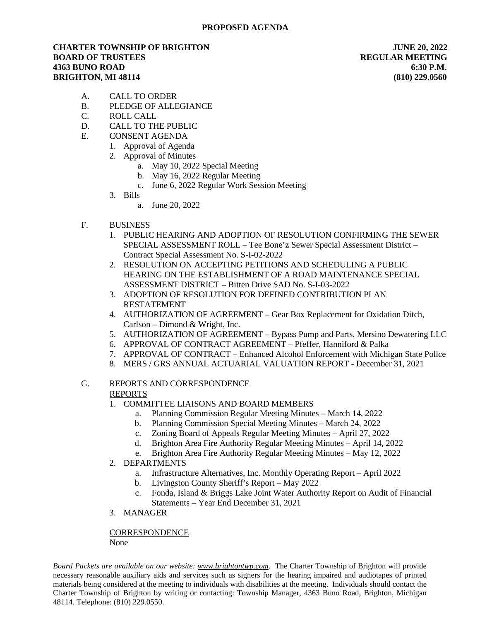## **CHARTER TOWNSHIP OF BRIGHTON JUNE 20, 2022 BOARD OF TRUSTEES REGULAR MEETING 4363 BUNO ROAD 6:30 P.M. BRIGHTON, MI 48114 (810) 229.0560**

- A. CALL TO ORDER
- B. PLEDGE OF ALLEGIANCE
- C. ROLL CALL
- D. CALL TO THE PUBLIC
- E. CONSENT AGENDA
	- 1. Approval of Agenda
	- 2. Approval of Minutes
		- a. May 10, 2022 Special Meeting
		- b. May 16, 2022 Regular Meeting
		- c. June 6, 2022 Regular Work Session Meeting
	- 3. Bills
		- a. June 20, 2022
- F. BUSINESS
	- 1. PUBLIC HEARING AND ADOPTION OF RESOLUTION CONFIRMING THE SEWER SPECIAL ASSESSMENT ROLL – Tee Bone'z Sewer Special Assessment District – Contract Special Assessment No. S-I-02-2022
	- 2. RESOLUTION ON ACCEPTING PETITIONS AND SCHEDULING A PUBLIC HEARING ON THE ESTABLISHMENT OF A ROAD MAINTENANCE SPECIAL ASSESSMENT DISTRICT – Bitten Drive SAD No. S-I-03-2022
	- 3. ADOPTION OF RESOLUTION FOR DEFINED CONTRIBUTION PLAN RESTATEMENT
	- 4. AUTHORIZATION OF AGREEMENT Gear Box Replacement for Oxidation Ditch, Carlson – Dimond & Wright, Inc.
	- 5. AUTHORIZATION OF AGREEMENT Bypass Pump and Parts, Mersino Dewatering LLC
	- 6. APPROVAL OF CONTRACT AGREEMENT Pfeffer, Hanniford & Palka
	- 7. APPROVAL OF CONTRACT Enhanced Alcohol Enforcement with Michigan State Police
	- 8. MERS / GRS ANNUAL ACTUARIAL VALUATION REPORT December 31, 2021

## G. REPORTS AND CORRESPONDENCE REPORTS

- 1. COMMITTEE LIAISONS AND BOARD MEMBERS
	- a. Planning Commission Regular Meeting Minutes March 14, 2022
	- b. Planning Commission Special Meeting Minutes March 24, 2022
	- c. Zoning Board of Appeals Regular Meeting Minutes April 27, 2022
	- d. Brighton Area Fire Authority Regular Meeting Minutes April 14, 2022
	- e. Brighton Area Fire Authority Regular Meeting Minutes May 12, 2022
- 2. DEPARTMENTS
	- a. Infrastructure Alternatives, Inc. Monthly Operating Report April 2022
	- b. Livingston County Sheriff's Report May 2022
	- c. Fonda, Island & Briggs Lake Joint Water Authority Report on Audit of Financial Statements – Year End December 31, 2021
- 3. MANAGER

**CORRESPONDENCE** None

*Board Packets are available on our website: [www.brightontwp.com](http://www.brightontwp.com/)*. The Charter Township of Brighton will provide necessary reasonable auxiliary aids and services such as signers for the hearing impaired and audiotapes of printed materials being considered at the meeting to individuals with disabilities at the meeting. Individuals should contact the Charter Township of Brighton by writing or contacting: Township Manager, 4363 Buno Road, Brighton, Michigan 48114. Telephone: (810) 229.0550.